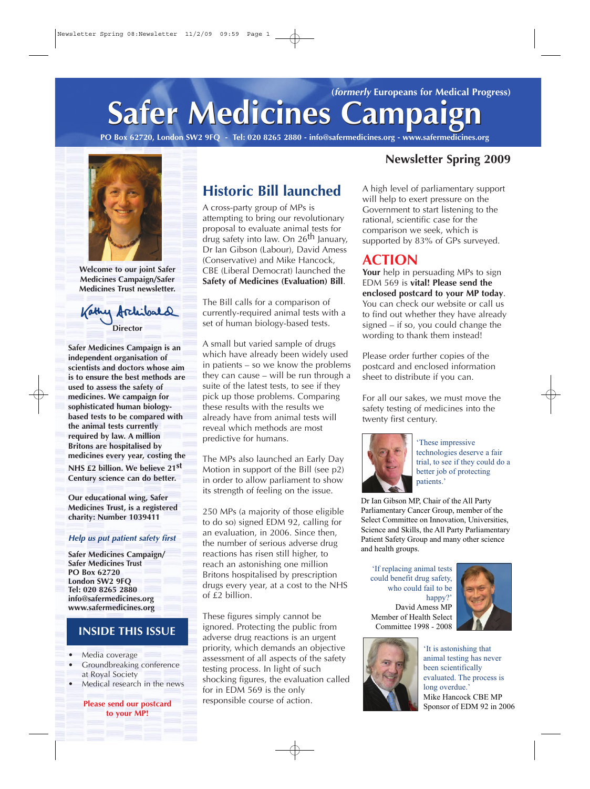# **Safer Medicines Campaign Safer Medicines Campaign (formerly Europeans for Medical Progress)**

**PO Box 62720, London SW2 9FQ - Tel: 020 8265 2880 - info@safermedicines.org - www.safermedicines.org**



**Welcome to our joint Safer Medicines Campaign/Safer Medicines Trust newsletter.**

Kathy Archites **Director**

**Safer Medicines Campaign is an independent organisation of scientists and doctors whose aim is to ensure the best methods are used to assess the safety of medicines. We campaign for sophisticated human biologybased tests to be compared with the animal tests currently required by law. A million Britons are hospitalised by medicines every year, costing the NHS £2 billion. We believe 21st Century science can do better.** 

**Our educational wing, Safer Medicines Trust, is a registered charity: Number 1039411**

#### **Help us put patient safety first**

**Safer Medicines Campaign/ Safer Medicines Trust PO Box 62720 London SW2 9FQ Tel: 020 8265 2880 info@safermedicines.org www.safermedicines.org**

#### **INSIDE THIS ISSUE**

- **•** Media coverage
- **•** Groundbreaking conference at Royal Society
- **•** Medical research in the news

**Please send our postcard to your MP!**

# **Historic Bill launched**

A cross-party group of MPs is attempting to bring our revolutionary proposal to evaluate animal tests for drug safety into law. On 26<sup>th</sup> January, Dr Ian Gibson (Labour), David Amess (Conservative) and Mike Hancock, CBE (Liberal Democrat) launched the **Safety of Medicines (Evaluation) Bill**.

The Bill calls for a comparison of currently-required animal tests with a set of human biology-based tests.

A small but varied sample of drugs which have already been widely used in patients – so we know the problems they can cause – will be run through a suite of the latest tests, to see if they pick up those problems. Comparing these results with the results we already have from animal tests will reveal which methods are most predictive for humans.

The MPs also launched an Early Day Motion in support of the Bill (see p2) in order to allow parliament to show its strength of feeling on the issue.

250 MPs (a majority of those eligible to do so) signed EDM 92, calling for an evaluation, in 2006. Since then, the number of serious adverse drug reactions has risen still higher, to reach an astonishing one million Britons hospitalised by prescription drugs every year, at a cost to the NHS of £2 billion.

These figures simply cannot be ignored. Protecting the public from adverse drug reactions is an urgent priority, which demands an objective assessment of all aspects of the safety testing process. In light of such shocking figures, the evaluation called for in EDM 569 is the only responsible course of action.

### **Newsletter Spring 2009**

A high level of parliamentary support will help to exert pressure on the Government to start listening to the rational, scientific case for the comparison we seek, which is supported by 83% of GPs surveyed.

### **ACTION**

Your help in persuading MPs to sign EDM 569 is **vital! Please send the enclosed postcard to your MP today**. You can check our website or call us to find out whether they have already signed – if so, you could change the wording to thank them instead!

Please order further copies of the postcard and enclosed information sheet to distribute if you can.

For all our sakes, we must move the safety testing of medicines into the twenty first century.



'These impressive technologies deserve a fair trial, to see if they could do a better job of protecting patients.'

Dr Ian Gibson MP, Chair of the All Party Parliamentary Cancer Group, member of the Select Committee on Innovation, Universities, Science and Skills, the All Party Parliamentary Patient Safety Group and many other science and health groups.

'If replacing animal tests could benefit drug safety, who could fail to be happy?' David Amess MP Member of Health Select Committee 1998 - 2008



'It is astonishing that animal testing has never been scientifically evaluated. The process is long overdue.' Mike Hancock CBE MP Sponsor of EDM 92 in 2006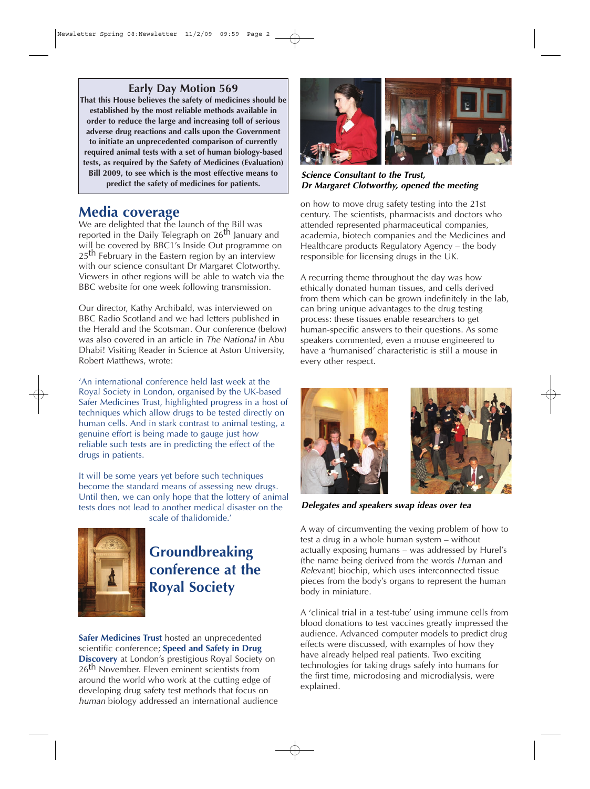#### **Early Day Motion 569**

**That this House believes the safety of medicines should be established by the most reliable methods available in order to reduce the large and increasing toll of serious adverse drug reactions and calls upon the Government to initiate an unprecedented comparison of currently required animal tests with a set of human biology-based tests, as required by the Safety of Medicines (Evaluation) Bill 2009, to see which is the most effective means to predict the safety of medicines for patients.**

### **Media coverage**

We are delighted that the launch of the Bill was reported in the Daily Telegraph on 26<sup>th</sup> January and will be covered by BBC1's Inside Out programme on 25<sup>th</sup> February in the Eastern region by an interview with our science consultant Dr Margaret Clotworthy. Viewers in other regions will be able to watch via the BBC website for one week following transmission.

Our director, Kathy Archibald, was interviewed on BBC Radio Scotland and we had letters published in the Herald and the Scotsman. Our conference (below) was also covered in an article in The National in Abu Dhabi! Visiting Reader in Science at Aston University, Robert Matthews, wrote:

'An international conference held last week at the Royal Society in London, organised by the UK-based Safer Medicines Trust, highlighted progress in a host of techniques which allow drugs to be tested directly on human cells. And in stark contrast to animal testing, a genuine effort is being made to gauge just how reliable such tests are in predicting the effect of the drugs in patients.

It will be some years yet before such techniques become the standard means of assessing new drugs. Until then, we can only hope that the lottery of animal tests does not lead to another medical disaster on the scale of thalidomide.'



# **Groundbreaking conference at the Royal Society**

**Safer Medicines Trust** hosted an unprecedented scientific conference; **Speed and Safety in Drug Discovery** at London's prestigious Royal Society on 26<sup>th</sup> November. Eleven eminent scientists from around the world who work at the cutting edge of developing drug safety test methods that focus on human biology addressed an international audience



**Science Consultant to the Trust, Dr Margaret Clotworthy, opened the meeting**

on how to move drug safety testing into the 21st century. The scientists, pharmacists and doctors who attended represented pharmaceutical companies, academia, biotech companies and the Medicines and Healthcare products Regulatory Agency – the body responsible for licensing drugs in the UK.

A recurring theme throughout the day was how ethically donated human tissues, and cells derived from them which can be grown indefinitely in the lab, can bring unique advantages to the drug testing process: these tissues enable researchers to get human-specific answers to their questions. As some speakers commented, even a mouse engineered to have a 'humanised' characteristic is still a mouse in every other respect.





**Delegates and speakers swap ideas over tea**

A way of circumventing the vexing problem of how to test a drug in a whole human system – without actually exposing humans – was addressed by Hurel's (the name being derived from the words Human and Relevant) biochip, which uses interconnected tissue pieces from the body's organs to represent the human body in miniature.

A 'clinical trial in a test-tube' using immune cells from blood donations to test vaccines greatly impressed the audience. Advanced computer models to predict drug effects were discussed, with examples of how they have already helped real patients. Two exciting technologies for taking drugs safely into humans for the first time, microdosing and microdialysis, were explained.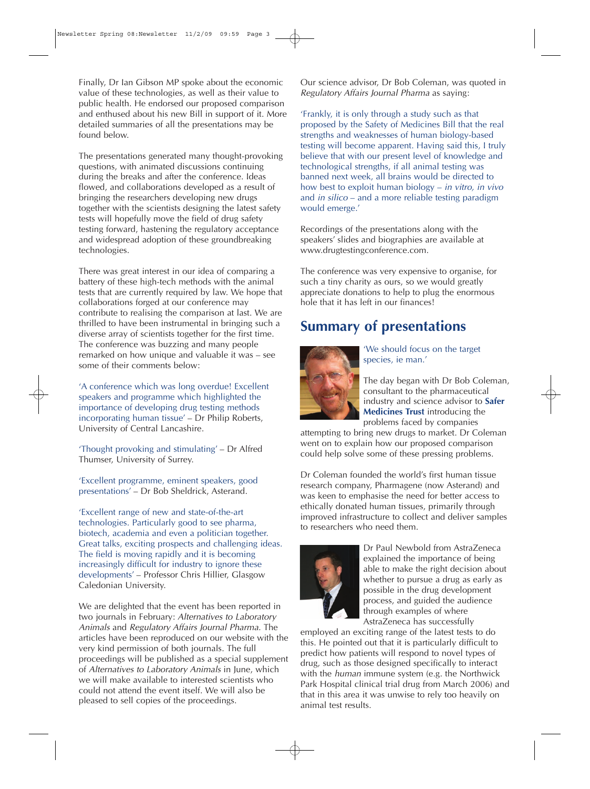Finally, Dr Ian Gibson MP spoke about the economic value of these technologies, as well as their value to public health. He endorsed our proposed comparison and enthused about his new Bill in support of it. More detailed summaries of all the presentations may be found below.

The presentations generated many thought-provoking questions, with animated discussions continuing during the breaks and after the conference. Ideas flowed, and collaborations developed as a result of bringing the researchers developing new drugs together with the scientists designing the latest safety tests will hopefully move the field of drug safety testing forward, hastening the regulatory acceptance and widespread adoption of these groundbreaking technologies.

There was great interest in our idea of comparing a battery of these high-tech methods with the animal tests that are currently required by law. We hope that collaborations forged at our conference may contribute to realising the comparison at last. We are thrilled to have been instrumental in bringing such a diverse array of scientists together for the first time. The conference was buzzing and many people remarked on how unique and valuable it was – see some of their comments below:

'A conference which was long overdue! Excellent speakers and programme which highlighted the importance of developing drug testing methods incorporating human tissue' – Dr Philip Roberts, University of Central Lancashire.

'Thought provoking and stimulating' – Dr Alfred Thumser, University of Surrey.

'Excellent programme, eminent speakers, good presentations' – Dr Bob Sheldrick, Asterand.

'Excellent range of new and state-of-the-art technologies. Particularly good to see pharma, biotech, academia and even a politician together. Great talks, exciting prospects and challenging ideas. The field is moving rapidly and it is becoming increasingly difficult for industry to ignore these developments' – Professor Chris Hillier, Glasgow Caledonian University.

We are delighted that the event has been reported in two journals in February: Alternatives to Laboratory Animals and Regulatory Affairs Journal Pharma. The articles have been reproduced on our website with the very kind permission of both journals. The full proceedings will be published as a special supplement of Alternatives to Laboratory Animals in June, which we will make available to interested scientists who could not attend the event itself. We will also be pleased to sell copies of the proceedings.

Our science advisor, Dr Bob Coleman, was quoted in Regulatory Affairs Journal Pharma as saying:

'Frankly, it is only through a study such as that proposed by the Safety of Medicines Bill that the real strengths and weaknesses of human biology-based testing will become apparent. Having said this, I truly believe that with our present level of knowledge and technological strengths, if all animal testing was banned next week, all brains would be directed to how best to exploit human biology – in vitro, in vivo and in silico – and a more reliable testing paradigm would emerge.'

Recordings of the presentations along with the speakers' slides and biographies are available at www.drugtestingconference.com.

The conference was very expensive to organise, for such a tiny charity as ours, so we would greatly appreciate donations to help to plug the enormous hole that it has left in our finances!

# **Summary of presentations**



'We should focus on the target species, ie man.'

The day began with Dr Bob Coleman, consultant to the pharmaceutical industry and science advisor to **Safer Medicines Trust** introducing the problems faced by companies

attempting to bring new drugs to market. Dr Coleman went on to explain how our proposed comparison could help solve some of these pressing problems.

Dr Coleman founded the world's first human tissue research company, Pharmagene (now Asterand) and was keen to emphasise the need for better access to ethically donated human tissues, primarily through improved infrastructure to collect and deliver samples to researchers who need them.



Dr Paul Newbold from AstraZeneca explained the importance of being able to make the right decision about whether to pursue a drug as early as possible in the drug development process, and guided the audience through examples of where AstraZeneca has successfully

employed an exciting range of the latest tests to do this. He pointed out that it is particularly difficult to predict how patients will respond to novel types of drug, such as those designed specifically to interact with the human immune system (e.g. the Northwick Park Hospital clinical trial drug from March 2006) and that in this area it was unwise to rely too heavily on animal test results.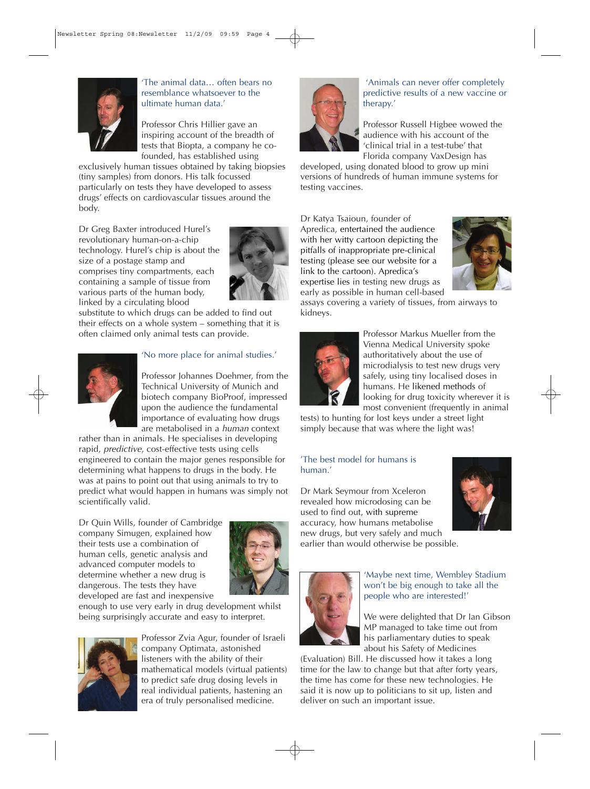

'The animal data… often bears no resemblance whatsoever to the ultimate human data.'

Professor Chris Hillier gave an inspiring account of the breadth of tests that Biopta, a company he cofounded, has established using

exclusively human tissues obtained by taking biopsies (tiny samples) from donors. His talk focussed particularly on tests they have developed to assess drugs' effects on cardiovascular tissues around the body.

Dr Greg Baxter introduced Hurel's revolutionary human-on-a-chip technology. Hurel's chip is about the size of a postage stamp and comprises tiny compartments, each containing a sample of tissue from various parts of the human body, linked by a circulating blood



substitute to which drugs can be added to find out their effects on a whole system – something that it is often claimed only animal tests can provide.



#### 'No more place for animal studies.'

Professor Johannes Doehmer, from the Technical University of Munich and biotech company BioProof, impressed upon the audience the fundamental importance of evaluating how drugs are metabolised in a human context

rather than in animals. He specialises in developing rapid, predictive, cost-effective tests using cells engineered to contain the major genes responsible for determining what happens to drugs in the body. He was at pains to point out that using animals to try to predict what would happen in humans was simply not scientifically valid.

Dr Quin Wills, founder of Cambridge company Simugen, explained how their tests use a combination of human cells, genetic analysis and advanced computer models to determine whether a new drug is dangerous. The tests they have developed are fast and inexpensive



enough to use very early in drug development whilst being surprisingly accurate and easy to interpret.



Professor Zvia Agur, founder of Israeli company Optimata, astonished listeners with the ability of their mathematical models (virtual patients) to predict safe drug dosing levels in real individual patients, hastening an era of truly personalised medicine.



'Animals can never offer completely predictive results of a new vaccine or therapy.'

Professor Russell Higbee wowed the audience with his account of the 'clinical trial in a test-tube' that Florida company VaxDesign has

developed, using donated blood to grow up mini versions of hundreds of human immune systems for testing vaccines.

Dr Katya Tsaioun, founder of Apredica, entertained the audience with her witty cartoon depicting the pitfalls of inappropriate pre-clinical testing (please see our website for a link to the cartoon). Apredica's expertise lies in testing new drugs as early as possible in human cell-based



assays covering a variety of tissues, from airways to kidneys.



Professor Markus Mueller from the Vienna Medical University spoke authoritatively about the use of microdialysis to test new drugs very safely, using tiny localised doses in humans. He likened methods of looking for drug toxicity wherever it is most convenient (frequently in animal

tests) to hunting for lost keys under a street light simply because that was where the light was!

#### 'The best model for humans is human.'

Dr Mark Seymour from Xceleron revealed how microdosing can be used to find out, with supreme accuracy, how humans metabolise new drugs, but very safely and much earlier than would otherwise be possible.





'Maybe next time, Wembley Stadium won't be big enough to take all the people who are interested!'

We were delighted that Dr Ian Gibson MP managed to take time out from his parliamentary duties to speak about his Safety of Medicines

(Evaluation) Bill. He discussed how it takes a long time for the law to change but that after forty years, the time has come for these new technologies. He said it is now up to politicians to sit up, listen and deliver on such an important issue.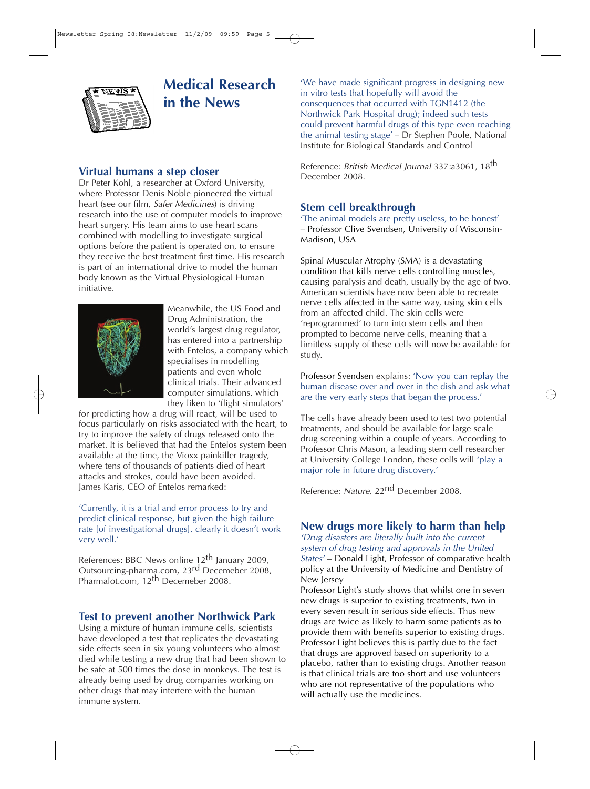

# **Medical Research in the News**

### **Virtual humans a step closer**

Dr Peter Kohl, a researcher at Oxford University, where Professor Denis Noble pioneered the virtual heart (see our film, Safer Medicines) is driving research into the use of computer models to improve heart surgery. His team aims to use heart scans combined with modelling to investigate surgical options before the patient is operated on, to ensure they receive the best treatment first time. His research is part of an international drive to model the human body known as the Virtual Physiological Human initiative.



Meanwhile, the US Food and Drug Administration, the world's largest drug regulator, has entered into a partnership with Entelos, a company which specialises in modelling patients and even whole clinical trials. Their advanced computer simulations, which they liken to 'flight simulators'

for predicting how a drug will react, will be used to focus particularly on risks associated with the heart, to try to improve the safety of drugs released onto the market. It is believed that had the Entelos system been available at the time, the Vioxx painkiller tragedy, where tens of thousands of patients died of heart attacks and strokes, could have been avoided. James Karis, CEO of Entelos remarked:

'Currently, it is a trial and error process to try and predict clinical response, but given the high failure rate [of investigational drugs], clearly it doesn't work very well.'

References: BBC News online 12<sup>th</sup> January 2009, Outsourcing-pharma.com, 23rd Decemeber 2008, Pharmalot.com, 12<sup>th</sup> Decemeber 2008.

### **Test to prevent another Northwick Park**

Using a mixture of human immune cells, scientists have developed a test that replicates the devastating side effects seen in six young volunteers who almost died while testing a new drug that had been shown to be safe at 500 times the dose in monkeys. The test is already being used by drug companies working on other drugs that may interfere with the human immune system.

'We have made significant progress in designing new in vitro tests that hopefully will avoid the consequences that occurred with TGN1412 (the Northwick Park Hospital drug); indeed such tests could prevent harmful drugs of this type even reaching the animal testing stage' – Dr Stephen Poole, National Institute for Biological Standards and Control

Reference: British Medical Journal 337:a3061, 18<sup>th</sup> December 2008.

### **Stem cell breakthrough**

'The animal models are pretty useless, to be honest' – Professor Clive Svendsen, University of Wisconsin-Madison, USA

Spinal Muscular Atrophy (SMA) is a devastating condition that kills nerve cells controlling muscles, causing paralysis and death, usually by the age of two. American scientists have now been able to recreate nerve cells affected in the same way, using skin cells from an affected child. The skin cells were 'reprogrammed' to turn into stem cells and then prompted to become nerve cells, meaning that a limitless supply of these cells will now be available for study.

Professor Svendsen explains: 'Now you can replay the human disease over and over in the dish and ask what are the very early steps that began the process.'

The cells have already been used to test two potential treatments, and should be available for large scale drug screening within a couple of years. According to Professor Chris Mason, a leading stem cell researcher at University College London, these cells will 'play a major role in future drug discovery.'

Reference: Nature, 22nd December 2008.

### **New drugs more likely to harm than help**

'Drug disasters are literally built into the current system of drug testing and approvals in the United States' – Donald Light, Professor of comparative health policy at the University of Medicine and Dentistry of New Jersey

Professor Light's study shows that whilst one in seven new drugs is superior to existing treatments, two in every seven result in serious side effects. Thus new drugs are twice as likely to harm some patients as to provide them with benefits superior to existing drugs. Professor Light believes this is partly due to the fact that drugs are approved based on superiority to a placebo, rather than to existing drugs. Another reason is that clinical trials are too short and use volunteers who are not representative of the populations who will actually use the medicines.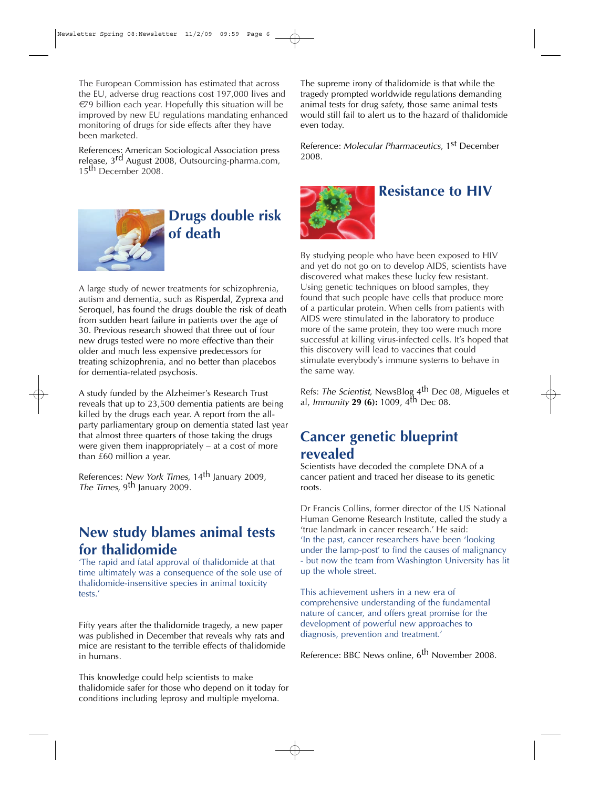The European Commission has estimated that across the EU, adverse drug reactions cost 197,000 lives and  $\epsilon$ 79 billion each year. Hopefully this situation will be improved by new EU regulations mandating enhanced monitoring of drugs for side effects after they have been marketed.

References: American Sociological Association press release, 3rd August 2008, Outsourcing-pharma.com, 15<sup>th</sup> December 2008.



# **Drugs double risk of death**

A large study of newer treatments for schizophrenia, autism and dementia, such as Risperdal, Zyprexa and Seroquel, has found the drugs double the risk of death from sudden heart failure in patients over the age of 30. Previous research showed that three out of four new drugs tested were no more effective than their older and much less expensive predecessors for treating schizophrenia, and no better than placebos for dementia-related psychosis.

A study funded by the Alzheimer's Research Trust reveals that up to 23,500 dementia patients are being killed by the drugs each year. A report from the allparty parliamentary group on dementia stated last year that almost three quarters of those taking the drugs were given them inappropriately – at a cost of more than £60 million a year.

References: *New York Times,* 14<sup>th</sup> January 2009, The Times, 9<sup>th</sup> January 2009.

### **New study blames animal tests for thalidomide**

'The rapid and fatal approval of thalidomide at that time ultimately was a consequence of the sole use of thalidomide-insensitive species in animal toxicity tests.'

Fifty years after the thalidomide tragedy, a new paper was published in December that reveals why rats and mice are resistant to the terrible effects of thalidomide in humans.

This knowledge could help scientists to make thalidomide safer for those who depend on it today for conditions including leprosy and multiple myeloma.

The supreme irony of thalidomide is that while the tragedy prompted worldwide regulations demanding animal tests for drug safety, those same animal tests would still fail to alert us to the hazard of thalidomide even today.

Reference: Molecular Pharmaceutics, 1<sup>st</sup> December 2008.



### **Resistance to HIV**

By studying people who have been exposed to HIV and yet do not go on to develop AIDS, scientists have discovered what makes these lucky few resistant. Using genetic techniques on blood samples, they found that such people have cells that produce more of a particular protein. When cells from patients with AIDS were stimulated in the laboratory to produce more of the same protein, they too were much more successful at killing virus-infected cells. It's hoped that this discovery will lead to vaccines that could stimulate everybody's immune systems to behave in the same way.

Refs: The Scientist, NewsBlog 4<sup>th</sup> Dec 08, Migueles et al, Immunity **29 (6):** 1009, 4th Dec 08.

# **Cancer genetic blueprint revealed**

Scientists have decoded the complete DNA of a cancer patient and traced her disease to its genetic roots.

Dr Francis Collins, former director of the US National Human Genome Research Institute, called the study a 'true landmark in cancer research.' He said: 'In the past, cancer researchers have been 'looking under the lamp-post' to find the causes of malignancy - but now the team from Washington University has lit up the whole street.

This achievement ushers in a new era of comprehensive understanding of the fundamental nature of cancer, and offers great promise for the development of powerful new approaches to diagnosis, prevention and treatment.'

Reference: BBC News online, 6th November 2008.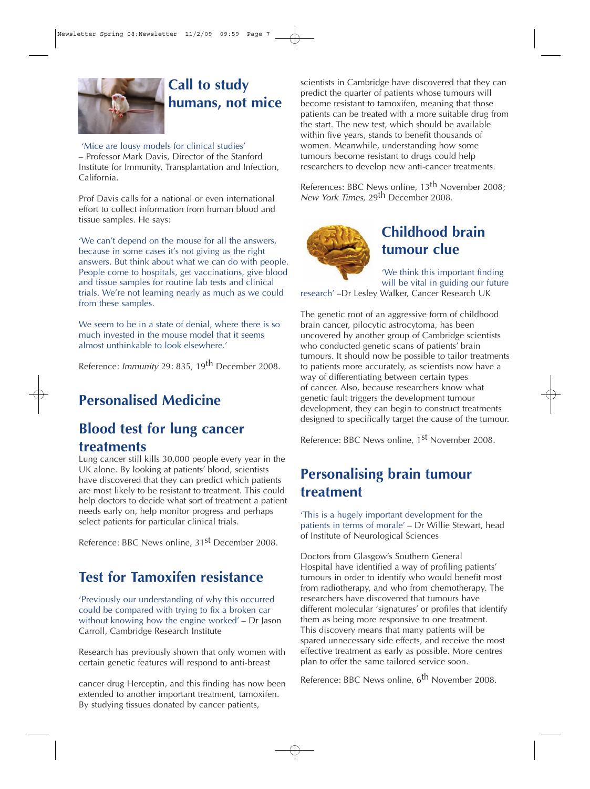

# **Call to study humans, not mice**

#### 'Mice are lousy models for clinical studies'

– Professor Mark Davis, Director of the Stanford Institute for Immunity, Transplantation and Infection, California.

Prof Davis calls for a national or even international effort to collect information from human blood and tissue samples. He says:

'We can't depend on the mouse for all the answers, because in some cases it's not giving us the right answers. But think about what we can do with people. People come to hospitals, get vaccinations, give blood and tissue samples for routine lab tests and clinical trials. We're not learning nearly as much as we could from these samples.

We seem to be in a state of denial, where there is so much invested in the mouse model that it seems almost unthinkable to look elsewhere.'

Reference: Immunity 29: 835, 19<sup>th</sup> December 2008.

# **Personalised Medicine**

## **Blood test for lung cancer treatments**

Lung cancer still kills 30,000 people every year in the UK alone. By looking at patients' blood, scientists have discovered that they can predict which patients are most likely to be resistant to treatment. This could help doctors to decide what sort of treatment a patient needs early on, help monitor progress and perhaps select patients for particular clinical trials.

Reference: BBC News online, 31<sup>st</sup> December 2008.

# **Test for Tamoxifen resistance**

'Previously our understanding of why this occurred could be compared with trying to fix a broken car without knowing how the engine worked' – Dr Jason Carroll, Cambridge Research Institute

Research has previously shown that only women with certain genetic features will respond to anti-breast

cancer drug Herceptin, and this finding has now been extended to another important treatment, tamoxifen. By studying tissues donated by cancer patients,

scientists in Cambridge have discovered that they can predict the quarter of patients whose tumours will become resistant to tamoxifen, meaning that those patients can be treated with a more suitable drug from the start. The new test, which should be available within five years, stands to benefit thousands of women. Meanwhile, understanding how some tumours become resistant to drugs could help researchers to develop new anti-cancer treatments.

References: BBC News online, 13th November 2008; New York Times, 29<sup>th</sup> December 2008.



# **Childhood brain tumour clue**

'We think this important finding will be vital in guiding our future

research' –Dr Lesley Walker, Cancer Research UK

The genetic root of an aggressive form of childhood brain cancer, pilocytic astrocytoma, has been uncovered by another group of Cambridge scientists who conducted genetic scans of patients' brain tumours. It should now be possible to tailor treatments to patients more accurately, as scientists now have a way of differentiating between certain types of cancer. Also, because researchers know what genetic fault triggers the development tumour development, they can begin to construct treatments designed to specifically target the cause of the tumour.

Reference: BBC News online, 1<sup>st</sup> November 2008.

# **Personalising brain tumour treatment**

'This is a hugely important development for the patients in terms of morale' – Dr Willie Stewart, head of Institute of Neurological Sciences

Doctors from Glasgow's Southern General Hospital have identified a way of profiling patients' tumours in order to identify who would benefit most from radiotherapy, and who from chemotherapy. The researchers have discovered that tumours have different molecular 'signatures' or profiles that identify them as being more responsive to one treatment. This discovery means that many patients will be spared unnecessary side effects, and receive the most effective treatment as early as possible. More centres plan to offer the same tailored service soon.

Reference: BBC News online, 6<sup>th</sup> November 2008.